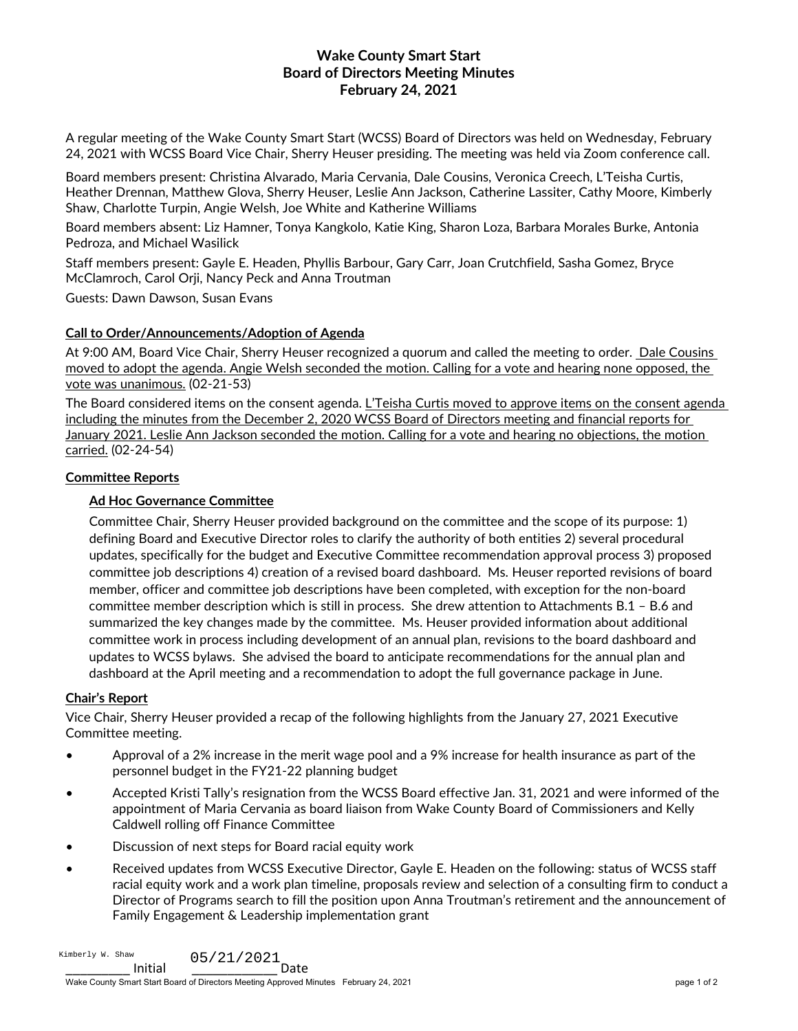# **Wake County Smart Start Board of Directors Meeting Minutes February 24, 2021**

A regular meeting of the Wake County Smart Start (WCSS) Board of Directors was held on Wednesday, February 24, 2021 with WCSS Board Vice Chair, Sherry Heuser presiding. The meeting was held via Zoom conference call.

Board members present: Christina Alvarado, Maria Cervania, Dale Cousins, Veronica Creech, L'Teisha Curtis, Heather Drennan, Matthew Glova, Sherry Heuser, Leslie Ann Jackson, Catherine Lassiter, Cathy Moore, Kimberly Shaw, Charlotte Turpin, Angie Welsh, Joe White and Katherine Williams

Board members absent: Liz Hamner, Tonya Kangkolo, Katie King, Sharon Loza, Barbara Morales Burke, Antonia Pedroza, and Michael Wasilick

Staff members present: Gayle E. Headen, Phyllis Barbour, Gary Carr, Joan Crutchfield, Sasha Gomez, Bryce McClamroch, Carol Orji, Nancy Peck and Anna Troutman

Guests: Dawn Dawson, Susan Evans

## **Call to Order/Announcements/Adoption of Agenda**

At 9:00 AM, Board Vice Chair, Sherry Heuser recognized a quorum and called the meeting to order. Dale Cousins moved to adopt the agenda. Angie Welsh seconded the motion. Calling for a vote and hearing none opposed, the vote was unanimous. (02-21-53)

The Board considered items on the consent agenda. L'Teisha Curtis moved to approve items on the consent agenda including the minutes from the December 2, 2020 WCSS Board of Directors meeting and financial reports for January 2021. Leslie Ann Jackson seconded the motion. Calling for a vote and hearing no objections, the motion carried. (02-24-54)

## **Committee Reports**

# **Ad Hoc Governance Committee**

Committee Chair, Sherry Heuser provided background on the committee and the scope of its purpose: 1) defining Board and Executive Director roles to clarify the authority of both entities 2) several procedural updates, specifically for the budget and Executive Committee recommendation approval process 3) proposed committee job descriptions 4) creation of a revised board dashboard. Ms. Heuser reported revisions of board member, officer and committee job descriptions have been completed, with exception for the non-board committee member description which is still in process. She drew attention to Attachments B.1 – B.6 and summarized the key changes made by the committee. Ms. Heuser provided information about additional committee work in process including development of an annual plan, revisions to the board dashboard and updates to WCSS bylaws. She advised the board to anticipate recommendations for the annual plan and dashboard at the April meeting and a recommendation to adopt the full governance package in June.

### **Chair's Report**

Vice Chair, Sherry Heuser provided a recap of the following highlights from the January 27, 2021 Executive Committee meeting.

- Approval of a 2% increase in the merit wage pool and a 9% increase for health insurance as part of the personnel budget in the FY21-22 planning budget
- Accepted Kristi Tally's resignation from the WCSS Board effective Jan. 31, 2021 and were informed of the appointment of Maria Cervania as board liaison from Wake County Board of Commissioners and Kelly Caldwell rolling off Finance Committee
- Discussion of next steps for Board racial equity work
- Received updates from WCSS Executive Director, Gayle E. Headen on the following: status of WCSS staff racial equity work and a work plan timeline, proposals review and selection of a consulting firm to conduct a Director of Programs search to fill the position upon Anna Troutman's retirement and the announcement of Family Engagement & Leadership implementation grant